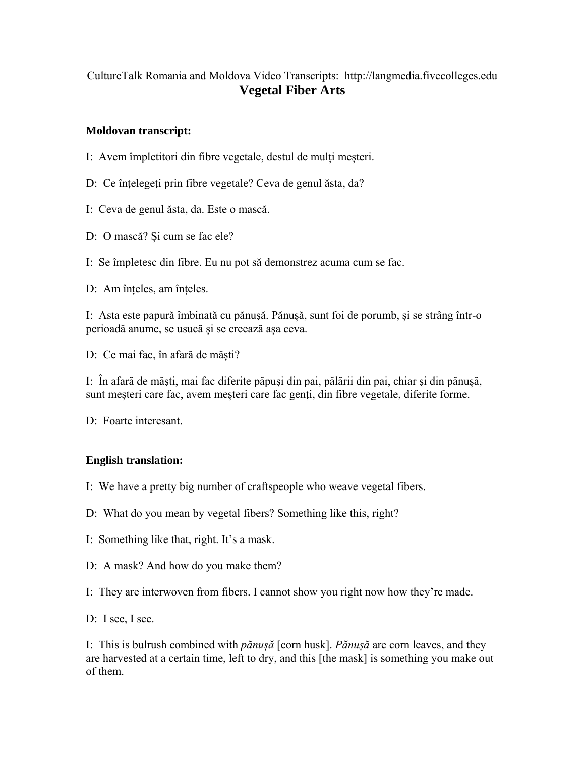## CultureTalk Romania and Moldova Video Transcripts: http://langmedia.fivecolleges.edu **Vegetal Fiber Arts**

## **Moldovan transcript:**

- I: Avem împletitori din fibre vegetale, destul de mulți meșteri.
- D: Ce înțelegeți prin fibre vegetale? Ceva de genul ăsta, da?
- I: Ceva de genul ăsta, da. Este o mască.
- D: O mască? Și cum se fac ele?
- I: Se împletesc din fibre. Eu nu pot să demonstrez acuma cum se fac.
- D: Am înțeles, am înțeles.

I: Asta este papură îmbinată cu pănușă. Pănușă, sunt foi de porumb, și se strâng într-o perioadă anume, se usucă și se creează așa ceva.

D: Ce mai fac, în afară de măști?

I: În afară de măști, mai fac diferite păpuși din pai, pălării din pai, chiar și din pănușă, sunt meșteri care fac, avem meșteri care fac genți, din fibre vegetale, diferite forme.

D: Foarte interesant.

## **English translation:**

- I: We have a pretty big number of craftspeople who weave vegetal fibers.
- D: What do you mean by vegetal fibers? Something like this, right?
- I: Something like that, right. It's a mask.
- D: A mask? And how do you make them?

I: They are interwoven from fibers. I cannot show you right now how they're made.

D: I see, I see.

I: This is bulrush combined with *pănușă* [corn husk]. *Pănușă* are corn leaves, and they are harvested at a certain time, left to dry, and this [the mask] is something you make out of them.